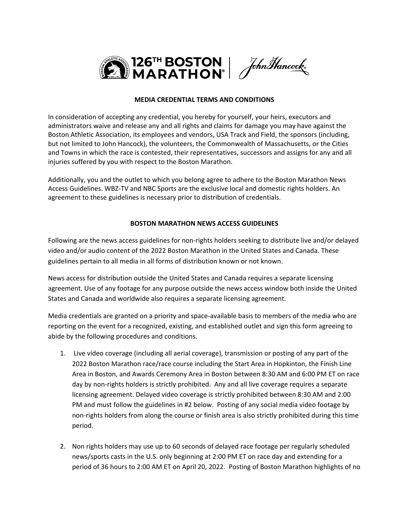

### **MEDIA CREDENTIAL TERMS AND CONDITIONS**

In consideration of accepting any credential, you hereby for yourself, your heirs, executors and administrators waive and release any and all rights and claims for damage you may have against the Boston Athletic Association, its employees and vendors, USA Track and Field, the sponsors (including, but not limited to John Hancock), the volunteers, the Commonwealth of Massachusetts, or the Cities and Towns in which the race is contested, their representatives, successors and assigns for any and all injuries suffered by you with respect to the Boston Marathon.

Additionally, you and the outlet to which you belong agree to adhere to the Boston Marathon News Access Guidelines. WBZ-TV and NBC Sports are the exclusive local and domestic rights holders. An agreement to these guidelines is necessary prior to distribution of credentials.

#### **BOSTON MARATHON NEWS ACCESS GUIDELINES**

Following are the news access guidelines for non-rights holders seeking to distribute live and/or delayed video and/or audio content of the 2022 Boston Marathon in the United States and Canada. These guidelines pertain to all media in all forms of distribution known or not known.

News access for distribution outside the United States and Canada requires a separate licensing agreement. Use of any footage for any purpose outside the news access window both inside the United States and Canada and worldwide also requires a separate licensing agreement.

Media credentials are granted on a priority and space-available basis to members of the media who are reporting on the event for a recognized, existing, and established outlet and sign this form agreeing to abide by the following procedures and conditions.

- 1. Live video coverage (including all aerial coverage), transmission or posting of any part of the 2022 Boston Marathon race/race course including the Start Area in Hopkinton, the Finish Line Area in Boston, and Awards Ceremony Area in Boston between 8:30 AM and 6:00 PM ET on race day by non-rights holders is strictly prohibited. Any and all live coverage requires a separate licensing agreement. Delayed video coverage is strictly prohibited between 8:30 AM and 2:00 PM and must follow the guidelines in #2 below. Posting of any social media video footage by non-rights holders from along the course or finish area is also strictly prohibited during this time period.
- 2. Non rights holders may use up to 60 seconds of delayed race footage per regularly scheduled news/sports casts in the U.S. only beginning at 2:00 PM ET on race day and extending for a period of 36 hours to 2:00 AM ET on April 20, 2022. Posting of Boston Marathon highlights of no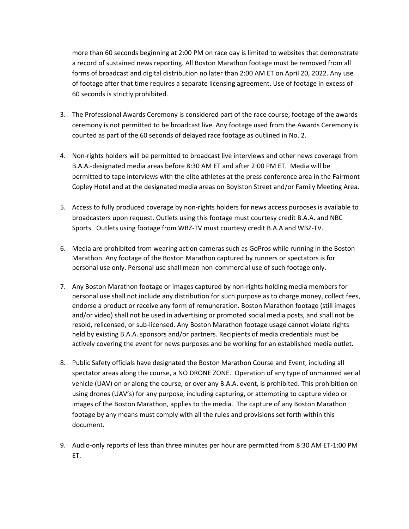more than 60 seconds beginning at 2:00 PM on race day is limited to websites that demonstrate a record of sustained news reporting. All Boston Marathon footage must be removed from all forms of broadcast and digital distribution no later than 2:00 AM ET on April 20, 2022. Any use of footage after that time requires a separate licensing agreement. Use of footage in excess of 60 seconds is strictly prohibited.

- 3. The Professional Awards Ceremony is considered part of the race course; footage of the awards ceremony is not permitted to be broadcast live. Any footage used from the Awards Ceremony is counted as part of the 60 seconds of delayed race footage as outlined in No. 2.
- 4. Non-rights holders will be permitted to broadcast live interviews and other news coverage from B.A.A.-designated media areas before 8:30 AM ET and after 2:00 PM ET. Media will be permitted to tape interviews with the elite athletes at the press conference area in the Fairmont Copley Hotel and at the designated media areas on Boylston Street and/or Family Meeting Area.
- 5. Access to fully produced coverage by non-rights holders for news access purposes is available to broadcasters upon request. Outlets using this footage must courtesy credit B.A.A. and NBC Sports. Outlets using footage from WBZ-TV must courtesy credit B.A.A and WBZ-TV.
- 6. Media are prohibited from wearing action cameras such as GoPros while running in the Boston Marathon. Any footage of the Boston Marathon captured by runners or spectators is for personal use only. Personal use shall mean non-commercial use of such footage only.
- 7. Any Boston Marathon footage or images captured by non-rights holding media members for personal use shall not include any distribution for such purpose as to charge money, collect fees, endorse a product or receive any form of remuneration. Boston Marathon footage (still images and/or video) shall not be used in advertising or promoted social media posts, and shall not be resold, relicensed, or sub-licensed. Any Boston Marathon footage usage cannot violate rights held by existing B.A.A. sponsors and/or partners. Recipients of media credentials must be actively covering the event for news purposes and be working for an established media outlet.
- 8. Public Safety officials have designated the Boston Marathon Course and Event, including all spectator areas along the course, a NO DRONE ZONE. Operation of any type of unmanned aerial vehicle (UAV) on or along the course, or over any B.A.A. event, is prohibited. This prohibition on using drones (UAV's) for any purpose, including capturing, or attempting to capture video or images of the Boston Marathon, applies to the media. The capture of any Boston Marathon footage by any means must comply with all the rules and provisions set forth within this document.
- 9. Audio-only reports of less than three minutes per hour are permitted from 8:30 AM ET-1:00 PM ET.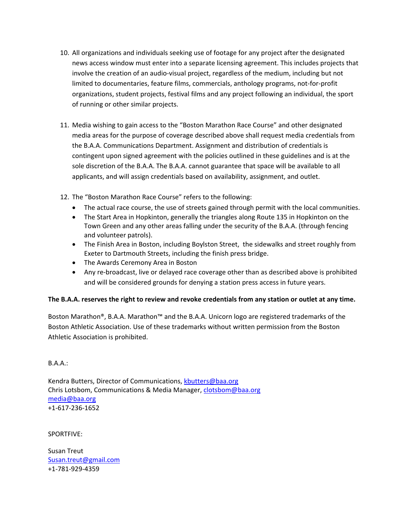- 10. All organizations and individuals seeking use of footage for any project after the designated news access window must enter into a separate licensing agreement. This includes projects that involve the creation of an audio-visual project, regardless of the medium, including but not limited to documentaries, feature films, commercials, anthology programs, not-for-profit organizations, student projects, festival films and any project following an individual, the sport of running or other similar projects.
- 11. Media wishing to gain access to the "Boston Marathon Race Course" and other designated media areas for the purpose of coverage described above shall request media credentials from the B.A.A. Communications Department. Assignment and distribution of credentials is contingent upon signed agreement with the policies outlined in these guidelines and is at the sole discretion of the B.A.A. The B.A.A. cannot guarantee that space will be available to all applicants, and will assign credentials based on availability, assignment, and outlet.
- 12. The "Boston Marathon Race Course" refers to the following:
	- The actual race course, the use of streets gained through permit with the local communities.
	- The Start Area in Hopkinton, generally the triangles along Route 135 in Hopkinton on the Town Green and any other areas falling under the security of the B.A.A. (through fencing and volunteer patrols).
	- The Finish Area in Boston, including Boylston Street, the sidewalks and street roughly from Exeter to Dartmouth Streets, including the finish press bridge.
	- The Awards Ceremony Area in Boston
	- Any re-broadcast, live or delayed race coverage other than as described above is prohibited and will be considered grounds for denying a station press access in future years.

### **The B.A.A. reserves the right to review and revoke credentials from any station or outlet at any time.**

Boston Marathon®, B.A.A. Marathon™ and the B.A.A. Unicorn logo are registered trademarks of the Boston Athletic Association. Use of these trademarks without written permission from the Boston Athletic Association is prohibited.

B.A.A.:

Kendra Butters, Director of Communications, kbutters@baa.org Chris Lotsbom, Communications & Media Manager, [clotsbom@baa.org](mailto:clotsbom@baa.org)  [media@baa.org](mailto:media@baa.org) +1-617-236-1652

SPORTFIVE:

Susan Treut [Susan.treut@gmail.com](mailto:Susan.treut@gmail.com) +1-781-929-4359